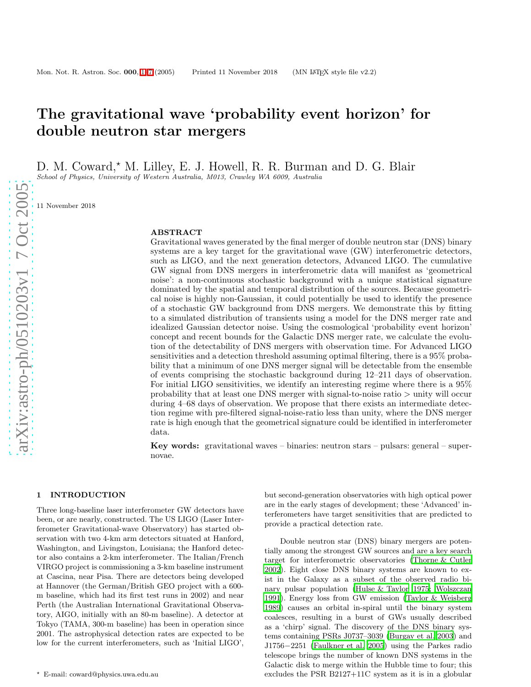# The gravitational wave 'probability event horizon' for double neutron star mergers

D. M. Coward,<sup>\*</sup> M. Lilley, E. J. Howell, R. R. Burman and D. G. Blair

School of Physics, University of Western Australia, M013, Crawley WA 6009, Australia

11 November 2018

### ABSTRACT

Gravitational waves generated by the final merger of double neutron star (DNS) binary systems are a key target for the gravitational wave (GW) interferometric detectors, such as LIGO, and the next generation detectors, Advanced LIGO. The cumulative GW signal from DNS mergers in interferometric data will manifest as 'geometrical noise': a non-continuous stochastic background with a unique statistical signature dominated by the spatial and temporal distribution of the sources. Because geometrical noise is highly non-Gaussian, it could potentially be used to identify the presence of a stochastic GW background from DNS mergers. We demonstrate this by fitting to a simulated distribution of transients using a model for the DNS merger rate and idealized Gaussian detector noise. Using the cosmological 'probability event horizon' concept and recent bounds for the Galactic DNS merger rate, we calculate the evolution of the detectability of DNS mergers with observation time. For Advanced LIGO sensitivities and a detection threshold assuming optimal filtering, there is a 95% probability that a minimum of one DNS merger signal will be detectable from the ensemble of events comprising the stochastic background during 12–211 days of observation. For initial LIGO sensitivities, we identify an interesting regime where there is a 95% probability that at least one DNS merger with signal-to-noise ratio > unity will occur during 4–68 days of observation. We propose that there exists an intermediate detection regime with pre-filtered signal-noise-ratio less than unity, where the DNS merger rate is high enough that the geometrical signature could be identified in interferometer data.

**Key words:** gravitational waves  $-\bar{\text{binary}}$ : neutron stars  $-\text{ pulsars}$ : general  $-\text{super-}$ novae.

# arXiv:astro-ph/0510203v1 7 Oct 2005 [arXiv:astro-ph/0510203v1 7 Oct 2005](http://arxiv.org/abs/astro-ph/0510203v1)

### 1 INTRODUCTION

Three long-baseline laser interferometer GW detectors hav e been, or are nearly, constructed. The US LIGO (Laser Interferometer Gravitational-wave Observatory) has started observation with two 4-km arm detectors situated at Hanford, Washington, and Livingston, Louisiana; the Hanford detector also contains a 2-km interferometer. The Italian/French VIRGO project is commissioning a 3-km baseline instrument at Cascina, near Pisa. There are detectors being developed at Hannover (the German/British GEO project with a 600 m baseline, which had its first test runs in 2002) and near Perth (the Australian International Gravitational Observatory, AIGO, initially with an 80-m baseline). A detector at Tokyo (TAMA, 300-m baseline) has been in operation since 2001. The astrophysical detection rates are expected to be low for the current interferometers, such as 'Initial LIGO' ,

but second-generation observatories with high optical power are in the early stages of development; these 'Advanced' interferometers have target sensitivities that are predicted to provide a practical detection rate.

Double neutron star (DNS) binary mergers are potentially among the strongest GW sources and are a key search target for interferometric observatories [\(Thorne & Cutler](#page-6-0) [2002](#page-6-0)). Eight close DNS binary systems are known to exist in the Galaxy as a subset of the observed radio binary pulsar population [\(Hulse & Taylor 1975](#page-6-1); [Wolszczan](#page-6-2) [1991](#page-6-2)). Energy loss from GW emission [\(Taylor & Weisberg](#page-6-3) [1989](#page-6-3)) causes an orbital in-spiral until the binary system coalesces, resulting in a burst of GWs usually described as a 'chirp' signal. The discovery of the DNS binary systems containing PSRs J0737–3039 [\(Burgay et al. 2003\)](#page-5-1) and J1756 −2251 [\(Faulkner et al. 2005](#page-6-4)) using the Parkes radio telescope brings the number of known DNS systems in the Galactic disk to merge within the Hubble time to four; this excludes the PSR B2127+11C system as it is in a globular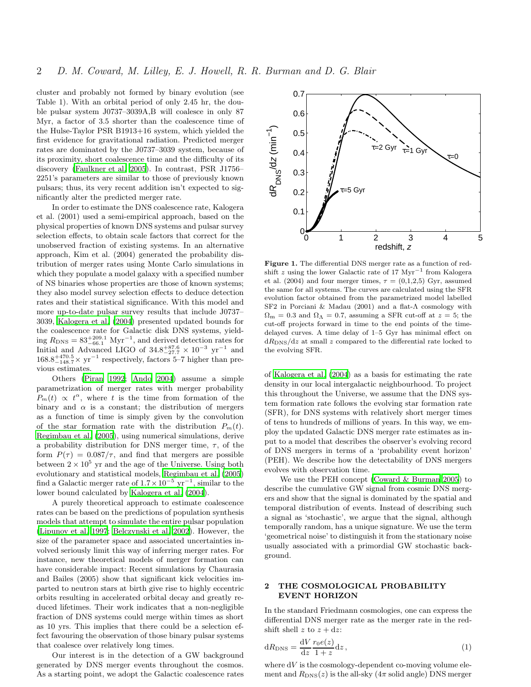cluster and probably not formed by binary evolution (see Table 1). With an orbital period of only 2.45 hr, the double pulsar system J0737–3039A,B will coalesce in only 87 Myr, a factor of 3.5 shorter than the coalescence time of the Hulse-Taylor PSR B1913+16 system, which yielded the first evidence for gravitational radiation. Predicted merger rates are dominated by the J0737–3039 system, because of its proximity, short coalescence time and the difficulty of its discovery [\(Faulkner et al. 2005](#page-6-4)). In contrast, PSR J1756– 2251's parameters are similar to those of previously known pulsars; thus, its very recent addition isn't expected to significantly alter the predicted merger rate.

In order to estimate the DNS coalescence rate, Kalogera et al. (2001) used a semi-empirical approach, based on the physical properties of known DNS systems and pulsar survey selection effects, to obtain scale factors that correct for the unobserved fraction of existing systems. In an alternative approach, Kim et al. (2004) generated the probability distribution of merger rates using Monte Carlo simulations in which they populate a model galaxy with a specified number of NS binaries whose properties are those of known systems; they also model survey selection effects to deduce detection rates and their statistical significance. With this model and more up-to-date pulsar survey results that include J0737– 3039, [Kalogera et al. \(2004\)](#page-6-5) presented updated bounds for the coalescence rate for Galactic disk DNS systems, yield- $\text{img } R_{\text{DNS}} = 83^{+209.1}_{-66.1} \text{ Myr}^{-1}$ , and derived detection rates for Initial and Advanced LIGO of  $34.8^{+87.6}_{-27.7} \times 10^{-3}$  yr<sup>-1</sup> and  $168.8^{+470.5}_{-148.7}\times$  yr<sup>-1</sup> respectively, factors 5-7 higher than previous estimates.

Others [\(Piran 1992](#page-6-6); [Ando 2004](#page-5-2)) assume a simple parametrization of merger rates with merger probability  $P_m(t) \propto t^{\alpha}$ , where t is the time from formation of the binary and  $\alpha$  is a constant; the distribution of mergers as a function of time is simply given by the convolution of the star formation rate with the distribution  $P_m(t)$ . [Regimbau et al. \(2005\)](#page-6-7), using numerical simulations, derive a probability distribution for DNS merger time,  $\tau$ , of the form  $P(\tau) = 0.087/\tau$ , and find that mergers are possible between  $2 \times 10^5$  yr and the age of the Universe. Using both evolutionary and statistical models, [Regimbau et al. \(2005](#page-6-7)) find a Galactic merger rate of  $1.7 \times 10^{-5}$  yr<sup>-1</sup>, similar to the lower bound calculated by [Kalogera et al. \(2004](#page-6-5)).

A purely theoretical approach to estimate coalescence rates can be based on the predictions of population synthesis models that attempt to simulate the entire pulsar population [\(Lipunov et al. 1997](#page-6-8); [Belczynski et al. 2002](#page-5-3)). However, the size of the parameter space and associated uncertainties involved seriously limit this way of inferring merger rates. For instance, new theoretical models of merger formation can have considerable impact: Recent simulations by Chaurasia and Bailes (2005) show that significant kick velocities imparted to neutron stars at birth give rise to highly eccentric orbits resulting in accelerated orbital decay and greatly reduced lifetimes. Their work indicates that a non-negligible fraction of DNS systems could merge within times as short as 10 yrs. This implies that there could be a selection effect favouring the observation of those binary pulsar systems that coalesce over relatively long times.

Our interest is in the detection of a GW background generated by DNS merger events throughout the cosmos. As a starting point, we adopt the Galactic coalescence rates



<span id="page-1-0"></span>Figure 1. The differential DNS merger rate as a function of redshift z using the lower Galactic rate of 17 Myr<sup>-1</sup> from Kalogera et al. (2004) and four merger times,  $\tau = (0,1,2,5)$  Gyr, assumed the same for all systems. The curves are calculated using the SFR evolution factor obtained from the parametrized model labelled SF2 in Porciani & Madau (2001) and a flat-Λ cosmology with  $\Omega_{\rm m} = 0.3$  and  $\Omega_{\Lambda} = 0.7$ , assuming a SFR cut-off at  $z = 5$ ; the cut-off projects forward in time to the end points of the timedelayed curves. A time delay of 1–5 Gyr has minimal effect on  $dR_{\text{DNS}}/dz$  at small z compared to the differential rate locked to the evolving SFR.

of [Kalogera et al. \(2004](#page-6-5)) as a basis for estimating the rate density in our local intergalactic neighbourhood. To project this throughout the Universe, we assume that the DNS system formation rate follows the evolving star formation rate (SFR), for DNS systems with relatively short merger times of tens to hundreds of millions of years. In this way, we employ the updated Galactic DNS merger rate estimates as input to a model that describes the observer's evolving record of DNS mergers in terms of a 'probability event horizon' (PEH). We describe how the detectability of DNS mergers evolves with observation time.

We use the PEH concept [\(Coward & Burman 2005](#page-6-9)) to describe the cumulative GW signal from cosmic DNS mergers and show that the signal is dominated by the spatial and temporal distribution of events. Instead of describing such a signal as 'stochastic', we argue that the signal, although temporally random, has a unique signature. We use the term 'geometrical noise' to distinguish it from the stationary noise usually associated with a primordial GW stochastic background.

### 2 THE COSMOLOGICAL PROBABILITY EVENT HORIZON

In the standard Friedmann cosmologies, one can express the differential DNS merger rate as the merger rate in the redshift shell z to  $z + dz$ :

$$
dR_{\rm DNS} = \frac{dV}{dz} \frac{r_0 e(z)}{1+z} dz, \qquad (1)
$$

where  $dV$  is the cosmology-dependent co-moving volume element and  $R_{\text{DNS}}(z)$  is the all-sky ( $4\pi$  solid angle) DNS merger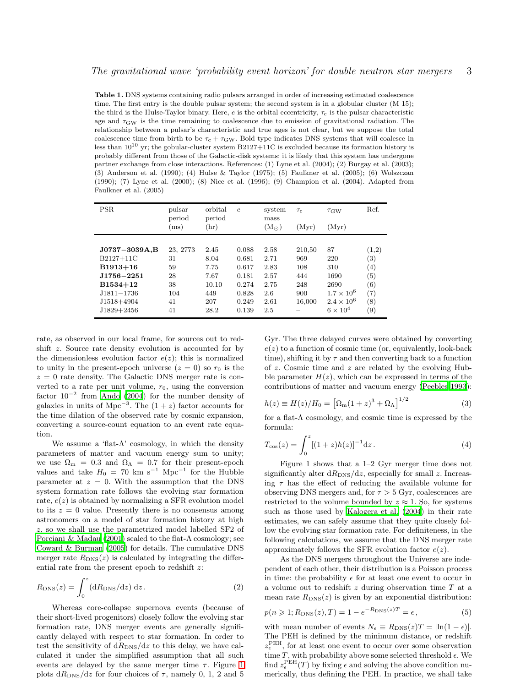Table 1. DNS systems containing radio pulsars arranged in order of increasing estimated coalescence time. The first entry is the double pulsar system; the second system is in a globular cluster (M 15); the third is the Hulse-Taylor binary. Here, e is the orbital eccentricity,  $\tau_c$  is the pulsar characteristic age and  $\tau_{\rm GW}$  is the time remaining to coalescence due to emission of gravitational radiation. The relationship between a pulsar's characteristic and true ages is not clear, but we suppose the total coalescence time from birth to be  $\tau_c + \tau_{\rm GW}$ . Bold type indicates DNS systems that will coalesce in less than  $10^{10}$  yr; the gobular-cluster system B2127+11C is excluded because its formation history is probably different from those of the Galactic-disk systems: it is likely that this system has undergone partner exchange from close interactions. References: (1) Lyne et al. (2004); (2) Burgay et al. (2003); (3) Anderson et al. (1990); (4) Hulse & Taylor (1975); (5) Faulkner et al. (2005); (6) Wolszczan (1990); (7) Lyne et al. (2000); (8) Nice et al. (1996); (9) Champion et al. (2004). Adapted from Faulkner et al. (2005)

| <b>PSR</b>                                                                                                                         | pulsar<br>period<br>(ms)                            | orbital<br>period<br>(hr)                                   | $\epsilon$                                                           | system<br>mass<br>$\rm (M_{\odot})$                        | $\tau_{\rm c}$<br>(Myr)                             | $\tau_{\rm GW}$<br>(Myr)                                                                          | Ref.                                                   |
|------------------------------------------------------------------------------------------------------------------------------------|-----------------------------------------------------|-------------------------------------------------------------|----------------------------------------------------------------------|------------------------------------------------------------|-----------------------------------------------------|---------------------------------------------------------------------------------------------------|--------------------------------------------------------|
| $J0737 - 3039A$ , B<br>B2127+11C<br>$B1913 + 16$<br>$J1756 - 2251$<br>B1534+12<br>$J1811 - 1736$<br>$J1518 + 4904$<br>$J1829+2456$ | 23, 2773<br>31<br>59<br>28<br>38<br>104<br>41<br>41 | 2.45<br>8.04<br>7.75<br>7.67<br>10.10<br>449<br>207<br>28.2 | 0.088<br>0.681<br>0.617<br>0.181<br>0.274<br>0.828<br>0.249<br>0.139 | 2.58<br>2.71<br>2.83<br>2.57<br>2.75<br>2.6<br>2.61<br>2.5 | 210,50<br>969<br>108<br>444<br>248<br>900<br>16,000 | 87<br>220<br>310<br>1690<br>2690<br>$1.7 \times 10^{6}$<br>$2.4 \times 10^{6}$<br>$6 \times 10^4$ | (1,2)<br>(3)<br>(4)<br>(5)<br>(6)<br>(7)<br>(8)<br>(9) |

rate, as observed in our local frame, for sources out to redshift z. Source rate density evolution is accounted for by the dimensionless evolution factor  $e(z)$ ; this is normalized to unity in the present-epoch universe  $(z = 0)$  so  $r_0$  is the  $z = 0$  rate density. The Galactic DNS merger rate is converted to a rate per unit volume,  $r_0$ , using the conversion factor  $10^{-2}$  from [Ando \(2004\)](#page-5-2) for the number density of galaxies in units of Mpc<sup>-3</sup>. The  $(1 + z)$  factor accounts for the time dilation of the observed rate by cosmic expansion, converting a source-count equation to an event rate equation.

We assume a 'flat- $\Lambda$ ' cosmology, in which the density parameters of matter and vacuum energy sum to unity; we use  $\Omega_{\rm m} = 0.3$  and  $\Omega_{\Lambda} = 0.7$  for their present-epoch values and take  $H_0 = 70$  km s<sup>-1</sup> Mpc<sup>-1</sup> for the Hubble parameter at  $z = 0$ . With the assumption that the DNS system formation rate follows the evolving star formation rate,  $e(z)$  is obtained by normalizing a SFR evolution model to its  $z = 0$  value. Presently there is no consensus among astronomers on a model of star formation history at high z, so we shall use the parametrized model labelled SF2 of [Porciani & Madau \(2001\)](#page-6-10) scaled to the flat-Λ cosmology; see [Coward & Burman \(2005\)](#page-6-9) for details. The cumulative DNS merger rate  $R_{\text{DNS}}(z)$  is calculated by integrating the differential rate from the present epoch to redshift z:

$$
R_{\rm DNS}(z) = \int_0^z (\mathrm{d}R_{\rm DNS}/\mathrm{d}z) \, \mathrm{d}z \,. \tag{2}
$$

Whereas core-collapse supernova events (because of their short-lived progenitors) closely follow the evolving star formation rate, DNS merger events are generally significantly delayed with respect to star formation. In order to test the sensitivity of  $dR_{\text{DNS}}/dz$  to this delay, we have calculated it under the simplified assumption that all such events are delayed by the same merger time  $\tau$ . Figure [1](#page-1-0) plots  $dR_{\text{DNS}}/dz$  for four choices of  $\tau$ , namely 0, 1, 2 and 5

Gyr. The three delayed curves were obtained by converting  $e(z)$  to a function of cosmic time (or, equivalently, look-back time), shifting it by  $\tau$  and then converting back to a function of z. Cosmic time and z are related by the evolving Hubble parameter  $H(z)$ , which can be expressed in terms of the contributions of matter and vacuum energy [\(Peebles 1993](#page-6-11)):

$$
h(z) \equiv H(z)/H_0 = \left[\Omega_{\rm m}(1+z)^3 + \Omega_{\Lambda}\right]^{1/2}
$$
 (3)

for a flat-Λ cosmology, and cosmic time is expressed by the formula:

$$
T_{\cos}(z) = \int_0^z [(1+z)h(z)]^{-1} dz.
$$
 (4)

Figure 1 shows that a 1–2 Gyr merger time does not significantly alter  $dR_{\text{DNS}}/dz$ , especially for small z. Increasing  $\tau$  has the effect of reducing the available volume for observing DNS mergers and, for  $\tau > 5$  Gyr, coalescences are restricted to the volume bounded by  $z \approx 1$ . So, for systems such as those used by [Kalogera et al. \(2004\)](#page-6-5) in their rate estimates, we can safely assume that they quite closely follow the evolving star formation rate. For definiteness, in the following calculations, we assume that the DNS merger rate approximately follows the SFR evolution factor  $e(z)$ .

As the DNS mergers throughout the Universe are independent of each other, their distribution is a Poisson process in time: the probability  $\epsilon$  for at least one event to occur in a volume out to redshift z during observation time T at a mean rate  $R_{\text{DNS}}(z)$  is given by an exponential distribution:

<span id="page-2-0"></span>
$$
p(n \geqslant 1; R_{\text{DNS}}(z), T) = 1 - e^{-R_{\text{DNS}}(z)T} = \epsilon, \tag{5}
$$

with mean number of events  $N_{\epsilon} \equiv R_{\text{DNS}}(z)T = \frac{|\ln(1-\epsilon)|}{\epsilon}$ . The PEH is defined by the minimum distance, or redshift  $z_{\epsilon}^{\text{PEH}}$ , for at least one event to occur over some observation time T, with probability above some selected threshold  $\epsilon$ . We find  $z_{\epsilon}^{\text{PEH}}(T)$  by fixing  $\epsilon$  and solving the above condition numerically, thus defining the PEH. In practice, we shall take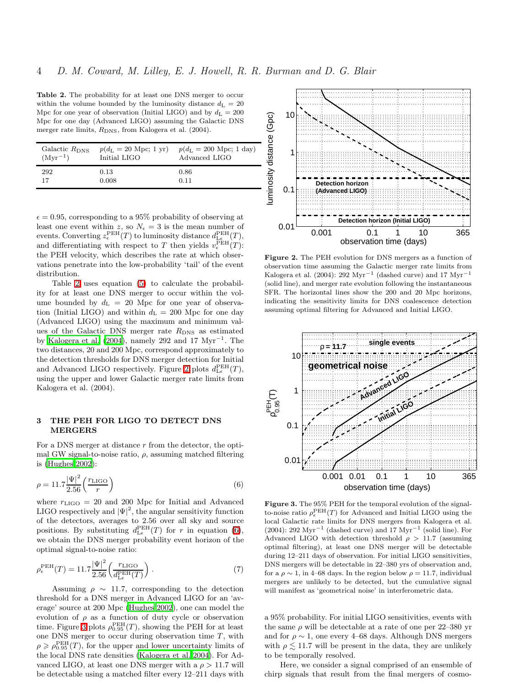Table 2. The probability for at least one DNS merger to occur within the volume bounded by the luminosity distance  $d_{\text{L}} = 20$ Mpc for one year of observation (Initial LIGO) and by  $d_{\rm L} = 200$ Mpc for one day (Advanced LIGO) assuming the Galactic DNS merger rate limits,  $R_{\text{DNS}}$ , from Kalogera et al. (2004).

| Galactic $R_{DNS}$ | $p(d_{\rm L} = 20$ Mpc; 1 yr) | $p(d_L = 200$ Mpc; 1 day) |
|--------------------|-------------------------------|---------------------------|
| $(Myr^{-1})$       | Initial LIGO                  | Advanced LIGO             |
| 292                | 0.13                          | 0.86                      |
| 17                 | 0.008                         | 0.11                      |

 $\epsilon = 0.95$ , corresponding to a 95% probability of observing at least one event within z, so  $N_{\epsilon} = 3$  is the mean number of events. Converting  $z_{\epsilon}^{\text{PEH}}(T)$  to luminosity distance  $d_{\text{L}\epsilon}^{\text{PEH}}(T)$ , and differentiating with respect to T then yields  $v_{\epsilon}^{\text{PEH}}(T)$ : the PEH velocity, which describes the rate at which observations penetrate into the low-probability 'tail' of the event distribution.

Table [2](#page-2-0) uses equation [\(5\)](#page-2-0) to calculate the probability for at least one DNS merger to occur within the volume bounded by  $d_{\text{L}} = 20$  Mpc for one year of observation (Initial LIGO) and within  $d_{\text{L}} = 200$  Mpc for one day (Advanced LIGO) using the maximum and minimum values of the Galactic DNS merger rate  $R_{\text{DNS}}$  as estimated by [Kalogera et al. \(2004\)](#page-6-5), namely 292 and 17  $Myr^{-1}$ . The two distances, 20 and 200 Mpc, correspond approximately to the detection thresholds for DNS merger detection for Initial and Advanced LIGO respectively. Figure [2](#page-3-0) plots  $d_{\text{L}\epsilon}^{\text{PEH}}(T)$ , using the upper and lower Galactic merger rate limits from Kalogera et al. (2004).

### 3 THE PEH FOR LIGO TO DETECT DNS MERGERS

For a DNS merger at distance  $r$  from the detector, the optimal GW signal-to-noise ratio,  $\rho$ , assuming matched filtering is [\(Hughes 2002\)](#page-6-12):

<span id="page-3-1"></span>
$$
\rho = 11.7 \frac{|\Psi|^2}{2.56} \left(\frac{r_{\text{LIGO}}}{r}\right) \tag{6}
$$

where  $r_{\text{LIGO}} = 20$  and 200 Mpc for Initial and Advanced LIGO respectively and  $|\Psi|^2$ , the angular sensitivity function of the detectors, averages to 2.56 over all sky and source positions. By substituting  $d_{\text{L}\epsilon}^{\text{PEH}}(T)$  for r in equation [\(6\)](#page-3-1), we obtain the DNS merger probability event horizon of the optimal signal-to-noise ratio:

$$
\rho_{\epsilon}^{\text{PEH}}(T) = 11.7 \frac{|\Psi|^2}{2.56} \left( \frac{r_{\text{LIGO}}}{d_{\text{Le}}^{\text{PEH}}(T)} \right). \tag{7}
$$

Assuming  $\rho \sim 11.7$ , corresponding to the detection threshold for a DNS merger in Advanced LIGO for an 'average' source at 200 Mpc [\(Hughes 2002](#page-6-12)), one can model the evolution of  $\rho$  as a function of duty cycle or observation time. Figure [3](#page-3-2) plots  $\rho_{0.95}^{\text{PEH}}(T)$ , showing the PEH for at least one DNS merger to occur during observation time  $T$ , with  $\rho \geqslant \rho_{0.95}^{\text{PEH}}(T)$ , for the upper and lower uncertainty limits of the local DNS rate densities [\(Kalogera et al. 2004\)](#page-6-5). For Advanced LIGO, at least one DNS merger with a  $\rho > 11.7$  will be detectable using a matched filter every 12–211 days with



<span id="page-3-0"></span>Figure 2. The PEH evolution for DNS mergers as a function of observation time assuming the Galactic merger rate limits from Kalogera et al. (2004): 292 Myr<sup>-1</sup> (dashed curve) and 17 Myr<sup>-1</sup> (solid line), and merger rate evolution following the instantaneous SFR. The horizontal lines show the 200 and 20 Mpc horizons, indicating the sensitivity limits for DNS coalescence detection assuming optimal filtering for Advanced and Initial LIGO.



<span id="page-3-2"></span>Figure 3. The 95% PEH for the temporal evolution of the signalto-noise ratio  $\rho_{\epsilon}^{\text{PEH}}(T)$  for Advanced and Initial LIGO using the local Galactic rate limits for DNS mergers from Kalogera et al. (2004): 292 Myr<sup>-1</sup> (dashed curve) and 17 Myr<sup>-1</sup> (solid line). For Advanced LIGO with detection threshold  $\rho > 11.7$  (assuming optimal filtering), at least one DNS merger will be detectable during 12–211 days of observation. For initial LIGO sensitivities, DNS mergers will be detectable in 22–380 yrs of observation and, for a  $\rho \sim 1$ , in 4–68 days. In the region below  $\rho = 11.7$ , individual mergers are unlikely to be detected, but the cumulative signal will manifest as 'geometrical noise' in interferometric data.

a 95% probability. For initial LIGO sensitivities, events with the same  $\rho$  will be detectable at a rate of one per 22–380 yr and for  $\rho \sim 1$ , one every 4–68 days. Although DNS mergers with  $\rho \leq 11.7$  will be present in the data, they are unlikely to be temporally resolved.

Here, we consider a signal comprised of an ensemble of chirp signals that result from the final mergers of cosmo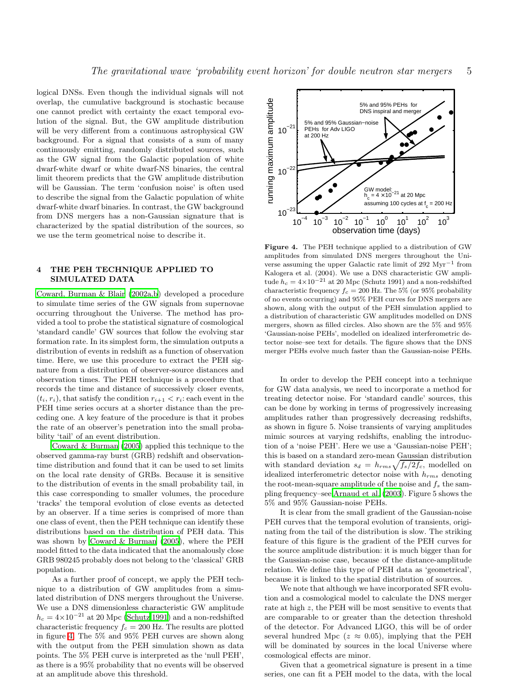logical DNSs. Even though the individual signals will not overlap, the cumulative background is stochastic because one cannot predict with certainty the exact temporal evolution of the signal. But, the GW amplitude distribution will be very different from a continuous astrophysical GW background. For a signal that consists of a sum of many continuously emitting, randomly distributed sources, such as the GW signal from the Galactic population of white dwarf-white dwarf or white dwarf-NS binaries, the central limit theorem predicts that the GW amplitude distribution will be Gaussian. The term 'confusion noise' is often used to describe the signal from the Galactic population of white dwarf-white dwarf binaries. In contrast, the GW background from DNS mergers has a non-Gaussian signature that is characterized by the spatial distribution of the sources, so we use the term geometrical noise to describe it.

### 4 THE PEH TECHNIQUE APPLIED TO SIMULATED DATA

[Coward, Burman & Blair \(2002a,b](#page-6-13)) developed a procedure to simulate time series of the GW signals from supernovae occurring throughout the Universe. The method has provided a tool to probe the statistical signature of cosmological 'standard candle' GW sources that follow the evolving star formation rate. In its simplest form, the simulation outputs a distribution of events in redshift as a function of observation time. Here, we use this procedure to extract the PEH signature from a distribution of observer-source distances and observation times. The PEH technique is a procedure that records the time and distance of successively closer events,  $(t_i, r_i)$ , that satisfy the condition  $r_{i+1} < r_i$ : each event in the PEH time series occurs at a shorter distance than the preceding one. A key feature of the procedure is that it probes the rate of an observer's penetration into the small probability 'tail' of an event distribution.

[Coward & Burman \(2005](#page-6-9)) applied this technique to the observed gamma-ray burst (GRB) redshift and observationtime distribution and found that it can be used to set limits on the local rate density of GRBs. Because it is sensitive to the distribution of events in the small probability tail, in this case corresponding to smaller volumes, the procedure 'tracks' the temporal evolution of close events as detected by an observer. If a time series is comprised of more than one class of event, then the PEH technique can identify these distributions based on the distribution of PEH data. This was shown by [Coward & Burman \(2005\)](#page-6-9), where the PEH model fitted to the data indicated that the anomalously close GRB 980245 probably does not belong to the 'classical' GRB population.

As a further proof of concept, we apply the PEH technique to a distribution of GW amplitudes from a simulated distribution of DNS mergers throughout the Universe. We use a DNS dimensionless characteristic GW amplitude  $h_c = 4 \times 10^{-21}$  at 20 Mpc [\(Schutz 1991](#page-6-14)) and a non-redshifted characteristic frequency  $f_c = 200$  Hz. The results are plotted in figure [4.](#page-4-0) The 5% and 95% PEH curves are shown along with the output from the PEH simulation shown as data points. The 5% PEH curve is interpreted as the 'null PEH', as there is a 95% probability that no events will be observed at an amplitude above this threshold.



<span id="page-4-0"></span>Figure 4. The PEH technique applied to a distribution of GW amplitudes from simulated DNS mergers throughout the Universe assuming the upper Galactic rate limit of 292 Myr−<sup>1</sup> from Kalogera et al. (2004). We use a DNS characteristic GW amplitude  $h_c = 4 \times 10^{-21}$  at 20 Mpc (Schutz 1991) and a non-redshifted characteristic frequency  $f_c = 200$  Hz. The 5% (or 95% probability of no events occurring) and 95% PEH curves for DNS mergers are shown, along with the output of the PEH simulation applied to a distribution of characteristic GW amplitudes modelled on DNS mergers, shown as filled circles. Also shown are the 5% and 95% 'Gaussian-noise PEHs', modelled on idealized interferometric detector noise–see text for details. The figure shows that the DNS merger PEHs evolve much faster than the Gaussian-noise PEHs.

In order to develop the PEH concept into a technique for GW data analysis, we need to incorporate a method for treating detector noise. For 'standard candle' sources, this can be done by working in terms of progressively increasing amplitudes rather than progressively decreasing redshifts, as shown in figure 5. Noise transients of varying amplitudes mimic sources at varying redshifts, enabling the introduction of a 'noise PEH'. Here we use a 'Gaussian-noise PEH'; this is based on a standard zero-mean Gaussian distribution with standard deviation  $s_d = h_{rms} \sqrt{f_s/2f_c}$ , modelled on idealized interferometric detector noise with  $h_{rms}$  denoting the root-mean-square amplitude of the noise and  $f_s$  the sampling frequency–see [Arnaud et al. \(2003](#page-5-4)). Figure 5 shows the 5% and 95% Gaussian-noise PEHs.

It is clear from the small gradient of the Gaussian-noise PEH curves that the temporal evolution of transients, originating from the tail of the distribution is slow. The striking feature of this figure is the gradient of the PEH curves for the source amplitude distribution: it is much bigger than for the Gaussian-noise case, because of the distance-amplitude relation. We define this type of PEH data as 'geometrical', because it is linked to the spatial distribution of sources.

We note that although we have incorporated SFR evolution and a cosmological model to calculate the DNS merger rate at high z, the PEH will be most sensitive to events that are comparable to or greater than the detection threshold of the detector. For Advanced LIGO, this will be of order several hundred Mpc ( $z \approx 0.05$ ), implying that the PEH will be dominated by sources in the local Universe where cosmological effects are minor.

Given that a geometrical signature is present in a time series, one can fit a PEH model to the data, with the local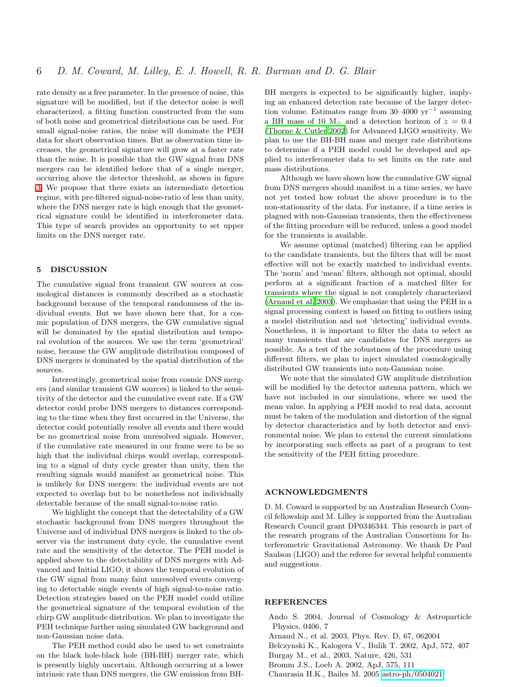rate density as a free parameter. In the presence of noise, this signature will be modified, but if the detector noise is well characterized, a fitting function constructed from the sum of both noise and geometrical distributions can be used. For small signal-noise ratios, the noise will dominate the PEH data for short observation times. But as observation time increases, the geometrical signature will grow at a faster rate than the noise. It is possible that the GW signal from DNS mergers can be identified before that of a single merger, occurring above the detector threshold, as shown in figure [3.](#page-3-2) We propose that there exists an intermediate detection regime, with pre-filtered signal-noise-ratio of less than unity, where the DNS merger rate is high enough that the geometrical signature could be identified in interferometer data. This type of search provides an opportunity to set upper limits on the DNS merger rate.

### 5 DISCUSSION

The cumulative signal from transient GW sources at cosmological distances is commonly described as a stochastic background because of the temporal randomness of the individual events. But we have shown here that, for a cosmic population of DNS mergers, the GW cumulative signal will be dominated by the spatial distribution and temporal evolution of the sources. We use the term 'geometrical' noise, because the GW amplitude distribution composed of DNS mergers is dominated by the spatial distribution of the sources.

Interestingly, geometrical noise from cosmic DNS mergers (and similar transient GW sources) is linked to the sensitivity of the detector and the cumulative event rate. If a GW detector could probe DNS mergers to distances corresponding to the time when they first occurred in the Universe, the detector could potentially resolve all events and there would be no geometrical noise from unresolved signals. However, if the cumulative rate measured in our frame were to be so high that the individual chirps would overlap, corresponding to a signal of duty cycle greater than unity, then the resulting signals would manifest as geometrical noise. This is unlikely for DNS mergers: the individual events are not expected to overlap but to be nonetheless not individually detectable because of the small signal-to-noise ratio.

We highlight the concept that the detectability of a GW stochastic background from DNS mergers throughout the Universe and of individual DNS mergers is linked to the observer via the instrument duty cycle, the cumulative event rate and the sensitivity of the detector. The PEH model is applied above to the detectability of DNS mergers with Advanced and Initial LIGO; it shows the temporal evolution of the GW signal from many faint unresolved events converging to detectable single events of high signal-to-noise ratio. Detection strategies based on the PEH model could utilize the geometrical signature of the temporal evolution of the chirp GW amplitude distribution. We plan to investigate the PEH technique further using simulated GW background and non-Gaussian noise data.

The PEH method could also be used to set constraints on the black hole-black hole (BH-BH) merger rate, which is presently highly uncertain. Although occurring at a lower intrinsic rate than DNS mergers, the GW emission from BH-

BH mergers is expected to be significantly higher, implying an enhanced detection rate because of the larger detection volume. Estimates range from 30–4000 yr<sup>−</sup><sup>1</sup> assuming a BH mass of 10 M<sub>☉</sub> and a detection horizon of  $z = 0.4$ [\(Thorne & Cutler 2002\)](#page-6-0) for Advanced LIGO sensitivity. We plan to use the BH-BH mass and merger rate distributions to determine if a PEH model could be developed and applied to interferometer data to set limits on the rate and mass distributions.

Although we have shown how the cumulative GW signal from DNS mergers should manifest in a time series, we have not yet tested how robust the above procedure is to the non-stationarity of the data. For instance, if a time series is plagued with non-Gaussian transients, then the effectiveness of the fitting procedure will be reduced, unless a good model for the transients is available.

We assume optimal (matched) filtering can be applied to the candidate transients, but the filters that will be most effective will not be exactly matched to individual events. The 'norm' and 'mean' filters, although not optimal, should perform at a significant fraction of a matched filter for transients where the signal is not completely characterized [\(Arnaud et al. 2003](#page-5-4)). We emphasize that using the PEH in a signal processing context is based on fitting to outliers using a model distribution and not 'detecting' individual events. Nonetheless, it is important to filter the data to select as many transients that are candidates for DNS mergers as possible. As a test of the robustness of the procedure using different filters, we plan to inject simulated cosmologically distributed GW transients into non-Gaussian noise.

We note that the simulated GW amplitude distribution will be modified by the detector antenna pattern, which we have not included in our simulations, where we used the mean value. In applying a PEH model to real data, account must be taken of the modulation and distortion of the signal by detector characteristics and by both detector and environmental noise. We plan to extend the current simulations by incorporating such effects as part of a program to test the sensitivity of the PEH fitting procedure.

## ACKNOWLEDGMENTS

D. M. Coward is supported by an Australian Research Council fellowship and M. Lilley is supported from the Australian Research Council grant DP0346344. This research is part of the research program of the Australian Consortium for Interferometric Gravitational Astronomy. We thank Dr Paul Saulson (LIGO) and the referee for several helpful comments and suggestions.

### <span id="page-5-2"></span><span id="page-5-0"></span>**REFERENCES**

- Ando S. 2004, Journal of Cosmology & Astroparticle Physics, 0406, 7
- <span id="page-5-4"></span>Arnaud N., et al. 2003, Phys. Rev. D, 67, 062004 Belczynski K., Kalogera V., Bulik T. 2002, ApJ, 572, 407
- 
- <span id="page-5-3"></span><span id="page-5-1"></span>Burgay M., et al., 2003, Nature, 426, 531 Bromm J.S., Loeb A. 2002, ApJ, 575, 111
- Chaurasia H.K., Bailes M. 2005 [astro-ph/0504021](http://arxiv.org/abs/astro-ph/0504021)